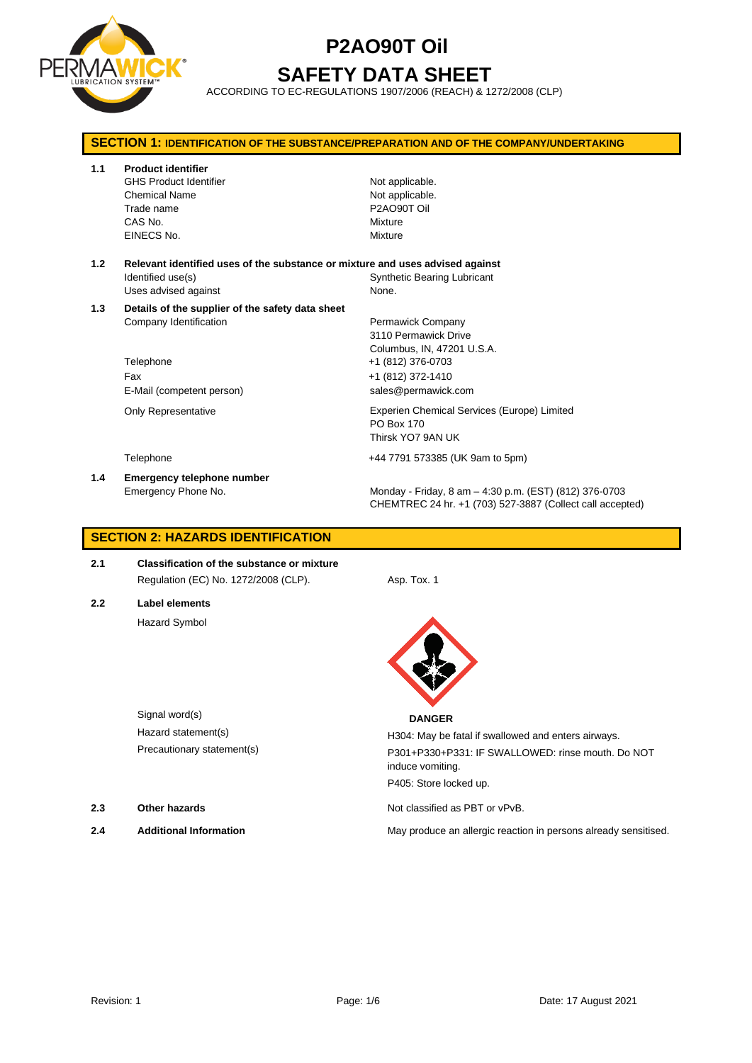

### **SAFETY DATA SHEET**

ACCORDING TO EC-REGULATIONS 1907/2006 (REACH) & 1272/2008 (CLP)

| <b>SECTION 1: IDENTIFICATION OF THE SUBSTANCE/PREPARATION AND OF THE COMPANY/UNDERTAKING</b> |                                                                                                                            |                                                                                                                     |  |
|----------------------------------------------------------------------------------------------|----------------------------------------------------------------------------------------------------------------------------|---------------------------------------------------------------------------------------------------------------------|--|
| 1.1                                                                                          | <b>Product identifier</b><br><b>GHS Product Identifier</b><br><b>Chemical Name</b><br>Trade name<br>CAS No.<br>EINECS No.  | Not applicable.<br>Not applicable.<br>P2AO90T Oil<br>Mixture<br>Mixture                                             |  |
| 1.2                                                                                          | Relevant identified uses of the substance or mixture and uses advised against<br>Identified use(s)<br>Uses advised against | <b>Synthetic Bearing Lubricant</b><br>None.                                                                         |  |
| 1.3                                                                                          | Details of the supplier of the safety data sheet<br>Company Identification<br>Telephone<br>Fax                             | Permawick Company<br>3110 Permawick Drive<br>Columbus, IN, 47201 U.S.A.<br>+1 (812) 376-0703<br>+1 (812) 372-1410   |  |
|                                                                                              | E-Mail (competent person)<br><b>Only Representative</b>                                                                    | sales@permawick.com<br>Experien Chemical Services (Europe) Limited<br>PO Box 170<br>Thirsk YO7 9AN UK               |  |
|                                                                                              | Telephone                                                                                                                  | +44 7791 573385 (UK 9am to 5pm)                                                                                     |  |
| 1.4                                                                                          | <b>Emergency telephone number</b><br>Emergency Phone No.                                                                   | Monday - Friday, 8 am - 4:30 p.m. (EST) (812) 376-0703<br>CHEMTREC 24 hr. +1 (703) 527-3887 (Collect call accepted) |  |

### **SECTION 2: HAZARDS IDENTIFICATION**

- **2.1 Classification of the substance or mixture** Regulation (EC) No. 1272/2008 (CLP). Asp. Tox. 1
- **2.2 Label elements** Hazard Symbol



H304: May be fatal if swallowed and enters airways. 8) P301+P330+P331: IF SWALLOWED: rinse mouth. Do NOT induce vomiting. P405: Store locked up.

**2.3 Other hazards Details Other hazards Not classified as PBT or vPvB.** 

**2.4 Additional Information** May produce an allergic reaction in persons already sensitised.

| Signal word(s)             | <b>DANGER</b> |
|----------------------------|---------------|
| Hazard statement(s)        | H304: May be  |
| Precautionary statement(s) | P301+P330+P   |

- 
-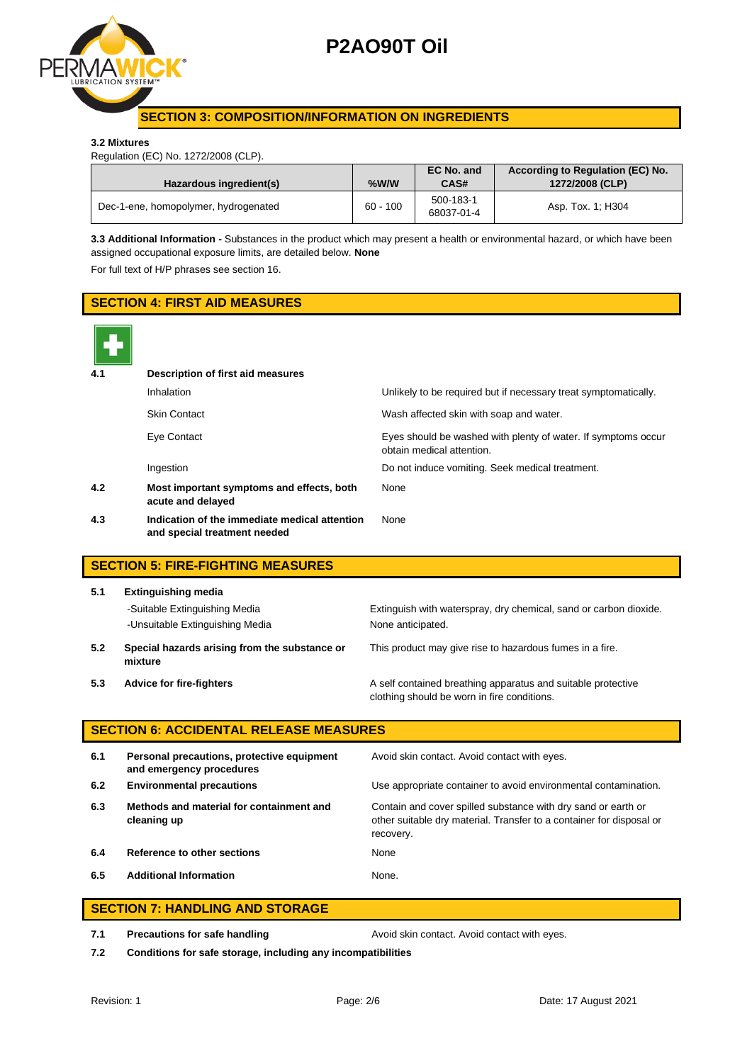

### **SECTION 3: COMPOSITION/INFORMATION ON INGREDIENTS**

#### **3.2 Mixtures**

Regulation (EC) No. 1272/2008 (CLP).

| Hazardous ingredient(s)              | %W/W       | EC No. and<br>CAS#      | According to Regulation (EC) No.<br>1272/2008 (CLP) |
|--------------------------------------|------------|-------------------------|-----------------------------------------------------|
| Dec-1-ene, homopolymer, hydrogenated | $60 - 100$ | 500-183-1<br>68037-01-4 | Asp. Tox. 1; H304                                   |

**3.3 Additional Information -** Substances in the product which may present a health or environmental hazard, or which have been assigned occupational exposure limits, are detailed below. **None**

For full text of H/P phrases see section 16.

### **SECTION 4: FIRST AID MEASURES 4.1 Description of first aid measures** Inhalation **Inhalation** Unlikely to be required but if necessary treat symptomatically. Skin Contact Wash affected skin with soap and water. Eye Contact Eyes should be washed with plenty of water. If symptoms occur obtain medical attention. Ingestion Do not induce vomiting. Seek medical treatment. **4.2 Most important symptoms and effects, both acute and delayed** None **4.3 Indication of the immediate medical attention and special treatment needed** None **SECTION 5: FIRE-FIGHTING MEASURES 5.1 Extinguishing media** -Suitable Extinguishing Media Extinguish with waterspray, dry chemical, sand or carbon dioxide. -Unsuitable Extinguishing Media None anticipated. **5.2 Special hazards arising from the substance or mixture** This product may give rise to hazardous fumes in a fire. **5.3 Advice for fire-fighters A self** contained breathing apparatus and suitable protective clothing should be worn in fire conditions. **SECTION 6: ACCIDENTAL RELEASE MEASURES 6.1 Personal precautions, protective equipment and emergency procedures** Avoid skin contact. Avoid contact with eyes. **6.2 Environmental precautions** Use appropriate container to avoid environmental contamination. **6.3 Methods and material for containment and cleaning up** Contain and cover spilled substance with dry sand or earth or other suitable dry material. Transfer to a container for disposal or recovery. **6.4 Reference to other sections** None **6.5 Additional Information** None.

### **SECTION 7: HANDLING AND STORAGE**

**7.1 Precautions for safe handling The State of Avoid skin contact. Avoid contact with eyes.** 

**7.2 Conditions for safe storage, including any incompatibilities**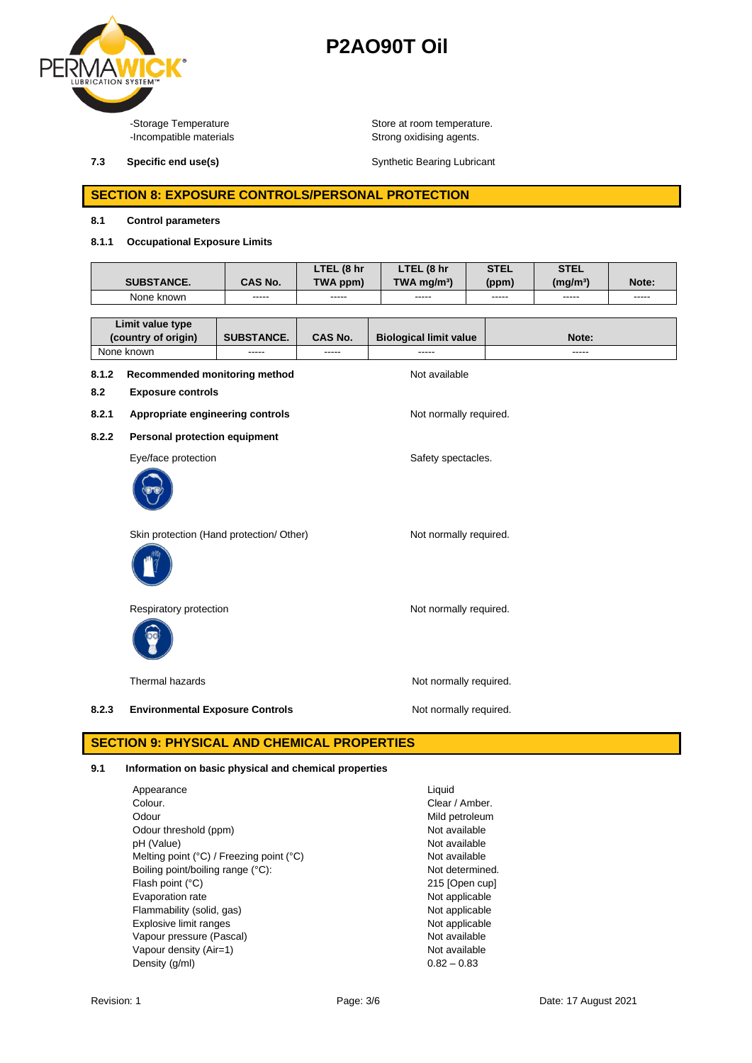

-Storage Temperature **Store at room temperature.**<br>-Incompatible materials **Store at Proposition** Strong oxidising agents. Strong oxidising agents.

**7.3 Specific end use(s)** Synthetic Bearing Lubricant

### **SECTION 8: EXPOSURE CONTROLS/PERSONAL PROTECTION**

### **8.1 Control parameters**

### **8.1.1 Occupational Exposure Limits**

|                                                                                                     | <b>SUBSTANCE.</b>                                          | CAS No.           | LTEL (8 hr<br>TWA ppm) | LTEL (8 hr<br>TWA mg/m <sup>3</sup> ) | <b>STEL</b><br>(ppm) | <b>STEL</b><br>(mg/m <sup>3</sup> ) | Note: |
|-----------------------------------------------------------------------------------------------------|------------------------------------------------------------|-------------------|------------------------|---------------------------------------|----------------------|-------------------------------------|-------|
| None known<br>-----                                                                                 |                                                            | -----             | -----                  | -----                                 | $- - - - -$          | -----                               |       |
| Limit value type<br>(country of origin)                                                             |                                                            | <b>SUBSTANCE.</b> | CAS No.                | <b>Biological limit value</b>         |                      | Note:                               |       |
| None known<br>$\cdots$<br>Recommended monitoring method<br>8.1.2<br>8.2<br><b>Exposure controls</b> |                                                            | -----             | -----<br>Not available |                                       | -----                |                                     |       |
| 8.2.1                                                                                               | Appropriate engineering controls<br>Not normally required. |                   |                        |                                       |                      |                                     |       |
| 8.2.2                                                                                               | <b>Personal protection equipment</b>                       |                   |                        |                                       |                      |                                     |       |
|                                                                                                     | Eye/face protection                                        |                   |                        | Safety spectacles.                    |                      |                                     |       |
|                                                                                                     | Skin protection (Hand protection/ Other)                   |                   |                        | Not normally required.                |                      |                                     |       |
|                                                                                                     | Respiratory protection                                     |                   |                        | Not normally required.                |                      |                                     |       |

Thermal hazards **Not report to the COV** Not normally required.

8.2.3 **Environmental Exposure Controls** Mot normally required.

### **SECTION 9: PHYSICAL AND CHEMICAL PROPERTIES**

### **9.1 Information on basic physical and chemical properties**

| Appearance                                                 | Liquid          |
|------------------------------------------------------------|-----------------|
| Colour.                                                    | Clear / Amber.  |
| Odour                                                      | Mild petroleum  |
| Odour threshold (ppm)                                      | Not available   |
| pH (Value)                                                 | Not available   |
| Melting point $(^{\circ}C)$ / Freezing point $(^{\circ}C)$ | Not available   |
| Boiling point/boiling range (°C):                          | Not determined. |
| Flash point (°C)                                           | 215 [Open cup]  |
| Evaporation rate                                           | Not applicable  |
| Flammability (solid, gas)                                  | Not applicable  |
| Explosive limit ranges                                     | Not applicable  |
| Vapour pressure (Pascal)                                   | Not available   |
| Vapour density (Air=1)                                     | Not available   |
| Density (g/ml)                                             | $0.82 - 0.83$   |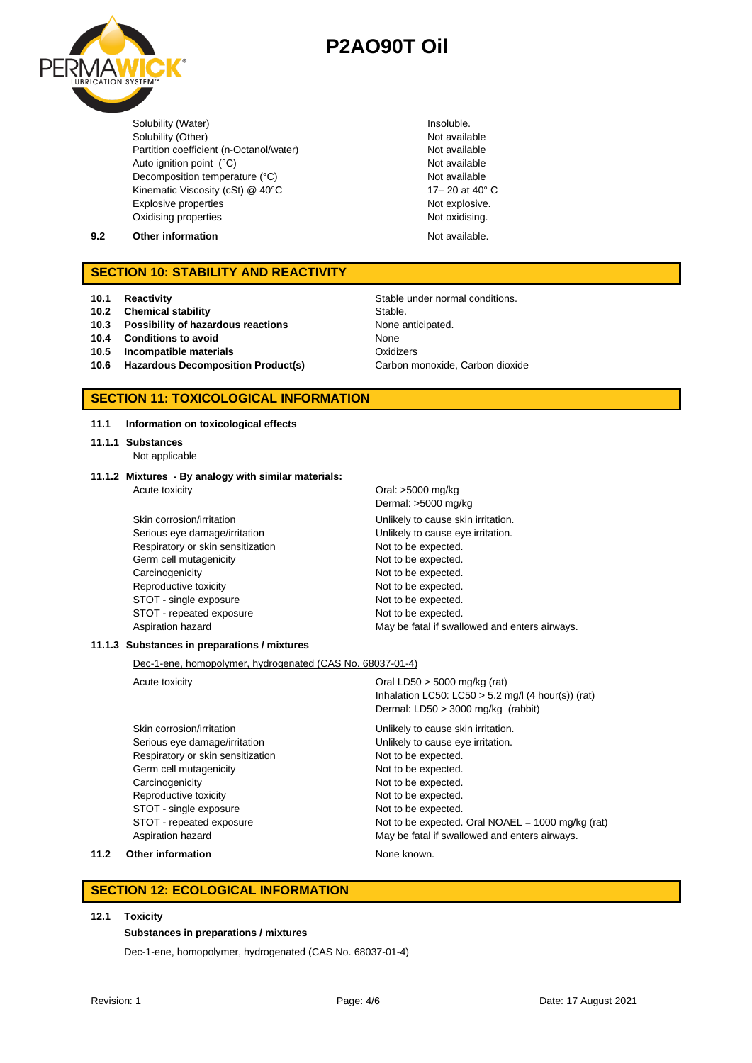

Solubility (Water) **Insoluble.**<br>
Solubility (Other) **Insoluble.**<br>
Not available Solubility (Other)<br>
Partition coefficient (n-Octanol/water)<br>
Not available Partition coefficient (n-Octanol/water) Auto ignition point (°C) and the contract of the Not available Not available Decomposition temperature (°C) Not available Kinematic Viscosity (cSt) @ 40°C 17- 20 at 40° C Explosive properties Not explosive. Oxidising properties Not oxidising.

- 
- **9.2 Other information Not available.**

### **SECTION 10: STABILITY AND REACTIVITY**

- **10.1 Reactivity Constraining Stable under normal conditions.**
- **10.2 Chemical stability** Stable

#### **10.3 Possibility of hazardous reactions** None anticipated.

- **10.4 Conditions to avoid None**
- **10.5 Incompatible materials** Oxidizers
- 10.6 **Hazardous Decomposition Product(s)** Carbon monoxide, Carbon dioxide

### **SECTION 11: TOXICOLOGICAL INFORMATION**

- **11.1 Information on toxicological effects**
- **11.1.1 Substances**
	- Not applicable
- **11.1.2 Mixtures - By analogy with similar materials:** Acute toxicity Contract Contract Contract Contract Contract Contract Contract Contract Contract Contract Contract Contract Contract Contract Contract Contract Contract Contract Contract Contract Contract Contract Contract
	- Serious eye damage/irritation **Unlikely to cause eye irritation**. Respiratory or skin sensitization Not to be expected. Germ cell mutagenicity expected. Carcinogenicity **Not to be expected.** Reproductive toxicity Not to be expected. STOT - single exposure Not to be expected. STOT - repeated exposure Not to be expected.

Dermal: >5000 mg/kg Skin corrosion/irritation example and unlikely to cause skin irritation. Aspiration hazard **May be fatal if swallowed and enters airways.** May be fatal if swallowed and enters airways.

### **11.1.3 Substances in preparations / mixtures**

Dec-1-ene, homopolymer, hydrogenated (CAS No. 68037-01-4)

Skin corrosion/irritation **Skin corrosion/irritation** Unlikely to cause skin irritation. Serious eye damage/irritation **Exercise 20** Unlikely to cause eye irritation. Respiratory or skin sensitization Not to be expected. Germ cell mutagenicity expected. Carcinogenicity **Notifically** Not to be expected. Reproductive toxicity Not to be expected. STOT - single exposure Not to be expected.

Acute toxicity **Canadian Construction** Oral LD50 > 5000 mg/kg (rat) Inhalation LC50: LC50  $>$  5.2 mg/l (4 hour(s)) (rat) Dermal: LD50 > 3000 mg/kg (rabbit)

STOT - repeated exposure Not to be expected. Oral NOAEL = 1000 mg/kg (rat) Aspiration hazard May be fatal if swallowed and enters airways.

**11.2 Other information None known.** 

### **SECTION 12: ECOLOGICAL INFORMATION**

### **12.1 Toxicity**

### **Substances in preparations / mixtures**

Dec-1-ene, homopolymer, hydrogenated (CAS No. 68037-01-4)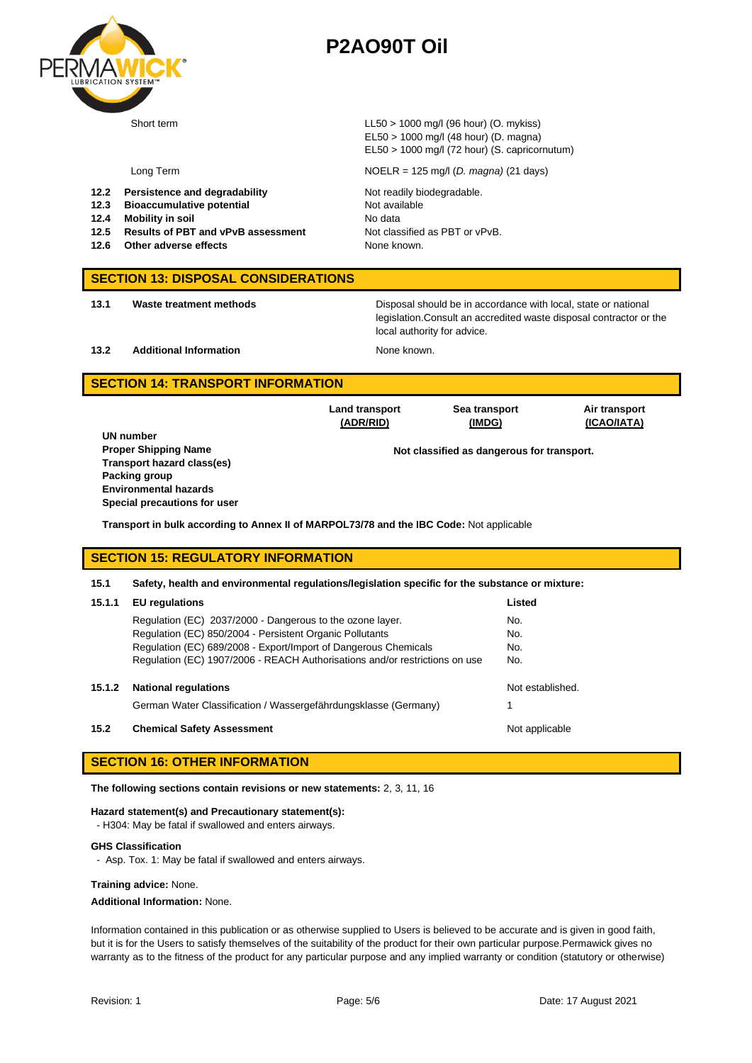

Short term LL50 > 1000 mg/l (96 hour) (O. mykiss) EL50 > 1000 mg/l (48 hour) (D. magna) EL50 > 1000 mg/l (72 hour) (S. capricornutum)

- **12.2 Persistence and degradability Motion Readily biodegradable.**
- **12.3 Bioaccumulative potential** Not available
- **12.4 Mobility in soil** No data
- **12.5 Results of PBT and vPvB assessment** Not classified as PBT or vPvB.
- **12.6 Other adverse effects None known. None known.**

Long Term NOELR = 125 mg/l (*D. magna)* (21 days)

### **SECTION 13: DISPOSAL CONSIDERATIONS**

**13.1 Waste treatment methods** Disposal should be in accordance with local, state or national legislation.Consult an accredited waste disposal contractor or the local authority for advice.

**13.2 Additional Information None known.** 

**Land transport (ADR/RID)**

### **SECTION 14: TRANSPORT INFORMATION**

**UN number Transport hazard class(es) Packing group Environmental hazards Special precautions for user**

**Air transport (ICAO/IATA)**

**Proper Shipping Name Not classified as dangerous for transport.** 

**Sea transport (IMDG)**

**Transport in bulk according to Annex II of MARPOL73/78 and the IBC Code:** Not applicable

### **SECTION 15: REGULATORY INFORMATION**

#### **15.1 Safety, health and environmental regulations/legislation specific for the substance or mixture:**

| 15.1.1 | <b>EU</b> regulations                                                       | Listed           |
|--------|-----------------------------------------------------------------------------|------------------|
|        | Regulation (EC) 2037/2000 - Dangerous to the ozone layer.                   | No.              |
|        | Regulation (EC) 850/2004 - Persistent Organic Pollutants                    | No.              |
|        | Regulation (EC) 689/2008 - Export/Import of Dangerous Chemicals             | No.              |
|        | Regulation (EC) 1907/2006 - REACH Authorisations and/or restrictions on use | No.              |
|        |                                                                             |                  |
| 15.1.2 | <b>National regulations</b>                                                 | Not established. |
|        | German Water Classification / Wassergefährdungsklasse (Germany)             |                  |
| 15.2   | <b>Chemical Safety Assessment</b>                                           | Not applicable   |

### **SECTION 16: OTHER INFORMATION**

**The following sections contain revisions or new statements:** 2, 3, 11, 16

#### **Hazard statement(s) and Precautionary statement(s):**

- H304: May be fatal if swallowed and enters airways.

#### **GHS Classification**

- Asp. Tox. 1: May be fatal if swallowed and enters airways.

#### **Training advice:** None.

**Additional Information:** None.

Information contained in this publication or as otherwise supplied to Users is believed to be accurate and is given in good faith, but it is for the Users to satisfy themselves of the suitability of the product for their own particular purpose.Permawick gives no warranty as to the fitness of the product for any particular purpose and any implied warranty or condition (statutory or otherwise)